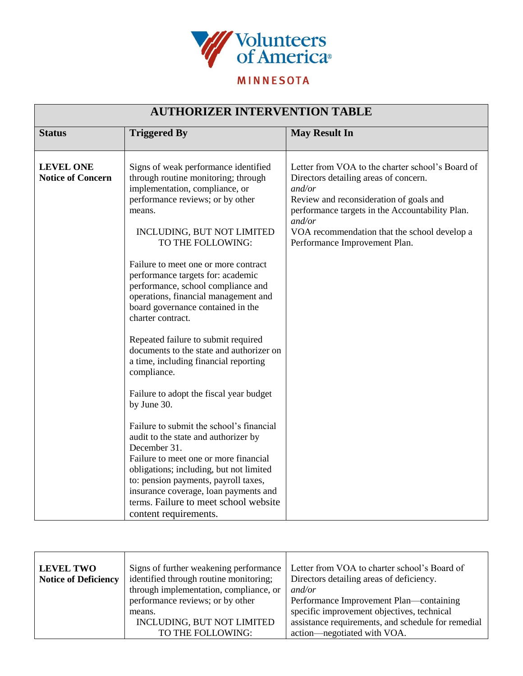

## **MINNESOTA**

| <b>AUTHORIZER INTERVENTION TABLE</b>         |                                                                                                                                                                                                                                                                                                                                                                                                                                                                                                                                                                                                                                                                                                                                                                                                                                                                                                                                                                                     |                                                                                                                                                                                                                                                                                              |  |  |
|----------------------------------------------|-------------------------------------------------------------------------------------------------------------------------------------------------------------------------------------------------------------------------------------------------------------------------------------------------------------------------------------------------------------------------------------------------------------------------------------------------------------------------------------------------------------------------------------------------------------------------------------------------------------------------------------------------------------------------------------------------------------------------------------------------------------------------------------------------------------------------------------------------------------------------------------------------------------------------------------------------------------------------------------|----------------------------------------------------------------------------------------------------------------------------------------------------------------------------------------------------------------------------------------------------------------------------------------------|--|--|
| <b>Status</b>                                | <b>Triggered By</b>                                                                                                                                                                                                                                                                                                                                                                                                                                                                                                                                                                                                                                                                                                                                                                                                                                                                                                                                                                 | <b>May Result In</b>                                                                                                                                                                                                                                                                         |  |  |
| <b>LEVEL ONE</b><br><b>Notice of Concern</b> | Signs of weak performance identified<br>through routine monitoring; through<br>implementation, compliance, or<br>performance reviews; or by other<br>means.<br>INCLUDING, BUT NOT LIMITED<br>TO THE FOLLOWING:<br>Failure to meet one or more contract<br>performance targets for: academic<br>performance, school compliance and<br>operations, financial management and<br>board governance contained in the<br>charter contract.<br>Repeated failure to submit required<br>documents to the state and authorizer on<br>a time, including financial reporting<br>compliance.<br>Failure to adopt the fiscal year budget<br>by June 30.<br>Failure to submit the school's financial<br>audit to the state and authorizer by<br>December 31.<br>Failure to meet one or more financial<br>obligations; including, but not limited<br>to: pension payments, payroll taxes,<br>insurance coverage, loan payments and<br>terms. Failure to meet school website<br>content requirements. | Letter from VOA to the charter school's Board of<br>Directors detailing areas of concern.<br>and/or<br>Review and reconsideration of goals and<br>performance targets in the Accountability Plan.<br>and/or<br>VOA recommendation that the school develop a<br>Performance Improvement Plan. |  |  |

| <b>LEVEL TWO</b>            | Signs of further weakening performance | Letter from VOA to charter school's Board of       |
|-----------------------------|----------------------------------------|----------------------------------------------------|
| <b>Notice of Deficiency</b> | identified through routine monitoring; | Directors detailing areas of deficiency.           |
|                             | through implementation, compliance, or | and/or                                             |
|                             | performance reviews; or by other       | Performance Improvement Plan—containing            |
|                             | means.                                 | specific improvement objectives, technical         |
|                             | INCLUDING, BUT NOT LIMITED             | assistance requirements, and schedule for remedial |
|                             | TO THE FOLLOWING:                      | action—negotiated with VOA.                        |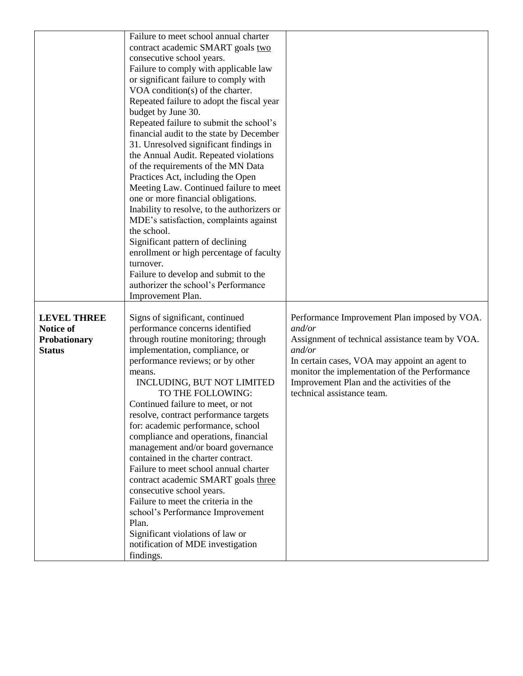|                    | Failure to meet school annual charter                                       |                                                 |
|--------------------|-----------------------------------------------------------------------------|-------------------------------------------------|
|                    | contract academic SMART goals two                                           |                                                 |
|                    | consecutive school years.                                                   |                                                 |
|                    | Failure to comply with applicable law                                       |                                                 |
|                    | or significant failure to comply with                                       |                                                 |
|                    | VOA condition(s) of the charter.                                            |                                                 |
|                    | Repeated failure to adopt the fiscal year                                   |                                                 |
|                    | budget by June 30.                                                          |                                                 |
|                    | Repeated failure to submit the school's                                     |                                                 |
|                    | financial audit to the state by December                                    |                                                 |
|                    | 31. Unresolved significant findings in                                      |                                                 |
|                    | the Annual Audit. Repeated violations                                       |                                                 |
|                    | of the requirements of the MN Data                                          |                                                 |
|                    | Practices Act, including the Open                                           |                                                 |
|                    | Meeting Law. Continued failure to meet                                      |                                                 |
|                    | one or more financial obligations.                                          |                                                 |
|                    | Inability to resolve, to the authorizers or                                 |                                                 |
|                    | MDE's satisfaction, complaints against                                      |                                                 |
|                    | the school.                                                                 |                                                 |
|                    | Significant pattern of declining                                            |                                                 |
|                    | enrollment or high percentage of faculty                                    |                                                 |
|                    | turnover.                                                                   |                                                 |
|                    | Failure to develop and submit to the<br>authorizer the school's Performance |                                                 |
|                    |                                                                             |                                                 |
|                    | Improvement Plan.                                                           |                                                 |
| <b>LEVEL THREE</b> | Signs of significant, continued                                             | Performance Improvement Plan imposed by VOA.    |
| Notice of          | performance concerns identified                                             | and/or                                          |
| Probationary       | through routine monitoring; through                                         | Assignment of technical assistance team by VOA. |
| <b>Status</b>      | implementation, compliance, or                                              | and/or                                          |
|                    | performance reviews; or by other                                            | In certain cases, VOA may appoint an agent to   |
|                    | means.                                                                      | monitor the implementation of the Performance   |
|                    | INCLUDING, BUT NOT LIMITED                                                  | Improvement Plan and the activities of the      |
|                    | TO THE FOLLOWING:                                                           | technical assistance team.                      |
|                    | Continued failure to meet, or not                                           |                                                 |
|                    | resolve, contract performance targets                                       |                                                 |
|                    | for: academic performance, school                                           |                                                 |
|                    | compliance and operations, financial                                        |                                                 |
|                    | management and/or board governance                                          |                                                 |
|                    | contained in the charter contract.                                          |                                                 |
|                    | Failure to meet school annual charter                                       |                                                 |
|                    | contract academic SMART goals three                                         |                                                 |
|                    | consecutive school years.                                                   |                                                 |
|                    | Failure to meet the criteria in the                                         |                                                 |
|                    | school's Performance Improvement                                            |                                                 |
|                    | Plan.                                                                       |                                                 |
|                    | Significant violations of law or                                            |                                                 |
|                    | notification of MDE investigation                                           |                                                 |
|                    | findings.                                                                   |                                                 |